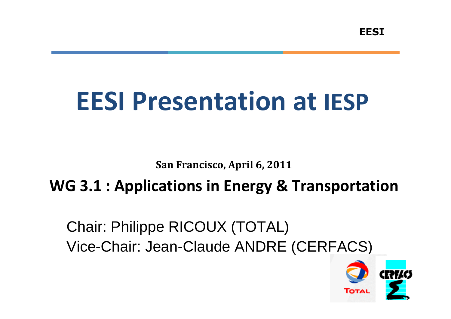# EESI Presentation at IESP

San Francisco, April 6, 2011

## WG 3.1 : Applications in Energy & Transportation

Chair: Philippe RICOUX (TOTAL)Vice-Chair: Jean-Claude ANDRE (CERFACS)

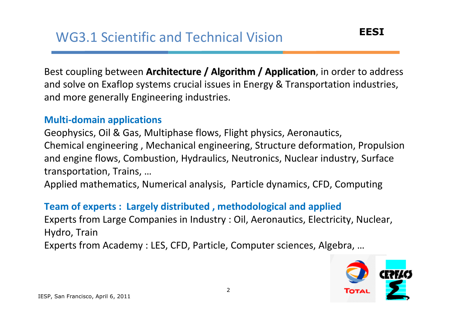Best coupling between **Architecture / Algorithm / Application**, in order to address and solve on Exaflop systems crucial issues in Energy & Transportation industries, and more generally Engineering industries.

## Multi-domain applications

Geophysics, Oil & Gas, Multiphase flows, Flight physics, Aeronautics, Chemical engineering , Mechanical engineering, Structure deformation, Propulsion and engine flows, Combustion, Hydraulics, Neutronics, Nuclear industry, Surface transportation, Trains, …

Applied mathematics, Numerical analysis, Particle dynamics, CFD, Computing

#### Team of experts : Largely distributed , methodological and applied

Experts from Large Companies in Industry : Oil, Aeronautics, Electricity, Nuclear, Hydro, TrainExperts from Academy : LES, CFD, Particle, Computer sciences, Algebra, …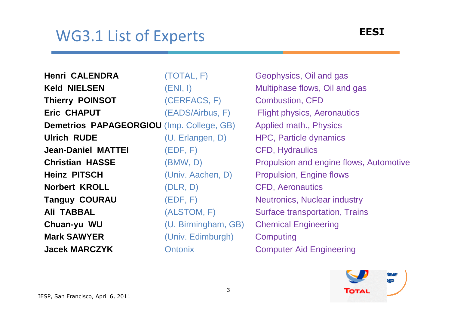## WG3.1 List of Experts

**Henri CALENDRA** (TOTAL, F)**Keld NIELSEN** (ENI, I) **Thierry POINSOT** (CERFACS, F)**Eric CHAPUT** (EADS/Airbus, F)**Demetrios PAPAGEORGIOU** (Imp. College, GB)**Ulrich RUDE** (U. Erlangen, D)**Jean-Daniel MATTEI** (EDF, F)**Christian HASSE** (BMW, D)**Heinz PITSCH** (Univ. Aachen, D) **Norbert KROLL** (DLR, D) **Tanguy COURAU** (EDF, F)**Ali TABBAL** (ALSTOM, F) **Chuan-yu WUChuan-yu WU** (U. Birmingham, GB)<br> **Mark SAWYER** (Univ. Fdimburgh) **(Univ. Edimburgh) Jacek MARCZYKOntonix** 

Geophysics, Oil and gasMultiphase flows, Oil and gasCombustion, CFD Flight physics, AeronauticsApplied math., PhysicsHPC, Particle dynamicsCFD, HydraulicsPropulsion and engine flows, AutomotivePropulsion, Engine flowsCFD, AeronauticsNeutronics, Nuclear industrySurface transportation, Trains Chemical Engineering**Computing** Computer Aid Engineering

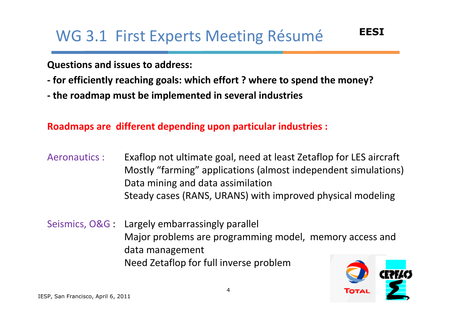Questions and issues to address:

- for efficiently reaching goals: which effort ? where to spend the money?
- the roadmap must be implemented in several industries

Roadmaps are different depending upon particular industries :

- Aeronautics : Exaflop not ultimate goal, need at least Zetaflop for LES aircraftMostly "farming" applications (almost independent simulations) Data mining and data assimilationSteady cases (RANS, URANS) with improved physical modeling
- Seismics, O&G : Largely embarrassingly parallel Major problems are programming model, memory access and data managementNeed Zetaflop for full inverse problem

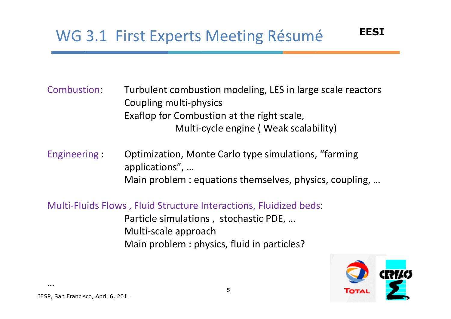Combustion: Turbulent combustion modeling, LES in large scale reactors Coupling multi-physics Exaflop for Combustion at the right scale, Multi-cycle engine ( Weak scalability)

Engineering : Optimization, Monte Carlo type simulations, "farming applications", …Main problem : equations themselves, physics, coupling, …

Multi-Fluids Flows , Fluid Structure Interactions, Fluidized beds: Particle simulations , stochastic PDE, …Multi-scale approachMain problem : physics, fluid in particles?



EESI

…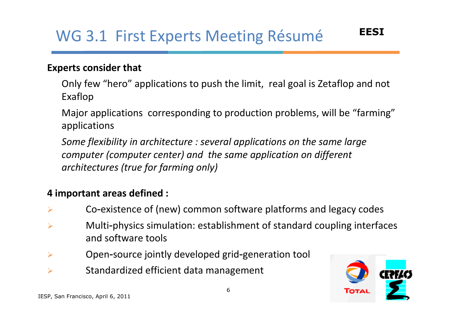#### Experts consider that

Only few "hero" applications to push the limit, real goal is Zetaflop and not Exaflop

Major applications corresponding to production problems, will be "farming"applications

Some flexibility in architecture : several applications on the same large computer (computer center) and the same application on different architectures (true for farming only)

#### 4 important areas defined :

- $\blacktriangleright$ Co‐existence of (new) common software platforms and legacy codes
- $\blacktriangleright$ Multi-physics simulation: establishment of standard coupling interfaces and software tools
- $\blacktriangleright$ Open‐source jointly developed grid‐generation tool
- $\blacktriangleright$ Standardized efficient data management

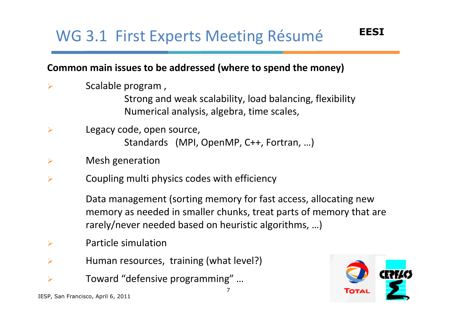### Common main issues to be addressed (where to spend the money)

 $\blacktriangleright$ Scalable program ,

Strong and weak scalability, load balancing, flexibility Numerical analysis, algebra, time scales,

- $\blacktriangleright$  Legacy code, open source, Standards (MPI, OpenMP, C++, Fortran, …)
- $\blacktriangleright$ Mesh generation
- $\blacktriangleright$ Coupling multi physics codes with efficiency

Data management (sorting memory for fast access, allocating new memory as needed in smaller chunks, treat parts of memory that are rarely/never needed based on heuristic algorithms, …)

7

- $\blacktriangleright$ Particle simulation
- $\blacktriangleright$ Human resources, training (what level?)
- $\blacktriangleright$ Toward "defensive programming" …

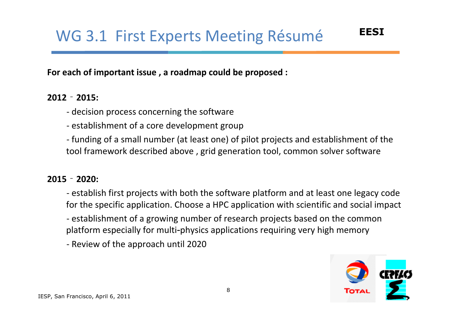For each of important issue , a roadmap could be proposed :

#### 2012**‐**2015:

- decision process concerning the software

- establishment of a core development group

- funding of a small number (at least one) of pilot projects and establishment of the tool framework described above , grid generation tool, common solver software

#### 2015**‐**2020:

- establish first projects with both the software platform and at least one legacy code for the specific application. Choose a HPC application with scientific and social impact- establishment of a growing number of research projects based on the common platform especially for multi‐physics applications requiring very high memory

- Review of the approach until 2020

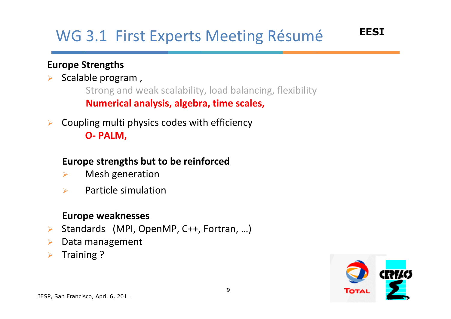## Europe Strengths

#### $\blacktriangleright$ Scalable program ,

Strong and weak scalability, load balancing, flexibility Numerical analysis, algebra, time scales,

 $\blacktriangleright$  Coupling multi physics codes with efficiency O- PALM,

## Europe strengths but to be reinforced

- $\blacktriangleright$ Mesh generation
- $\blacktriangleright$ Particle simulation

#### Europe weaknesses

- $\blacktriangleright$ Standards (MPI, OpenMP, C++, Fortran, …)
- $\blacktriangleright$ Data management
- $\blacktriangleright$ Training ?

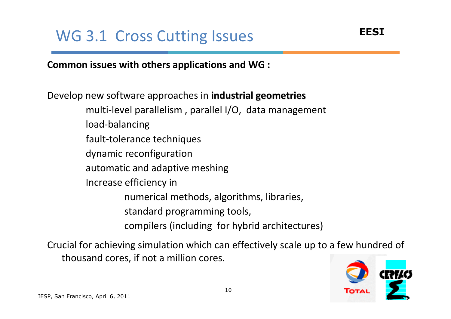Common issues with others applications and WG :

Develop new software approaches in **industrial geometries** multi-level parallelism , parallel I/O, data managementload-balancing fault-tolerance techniques dynamic reconfiguration automatic and adaptive meshing Increase efficiency in numerical methods, algorithms, libraries, standard programming tools, compilers (including for hybrid architectures)

Crucial for achieving simulation which can effectively scale up to a few hundred of thousand cores, if not a million cores.

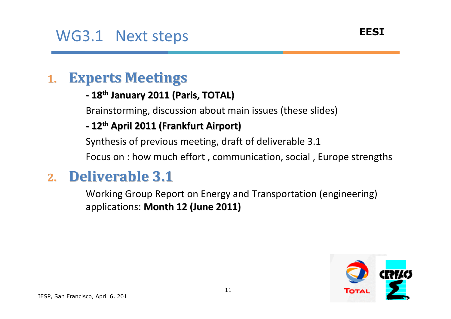#### 1.Experts Meetings

#### -- 18<sup>th</sup> January 2011 (Paris, TOTAL)

Brainstorming, discussion about main issues (these slides)

#### -- 12<sup>th</sup> April 2011 (Frankfurt Airport)

Synthesis of previous meeting, draft of deliverable 3.1

Focus on : how much effort , communication, social , Europe strengths

#### 2.Deliverable 3.1

 Working Group Report on Energy and Transportation (engineering) applications: Month 12 (June 2011)

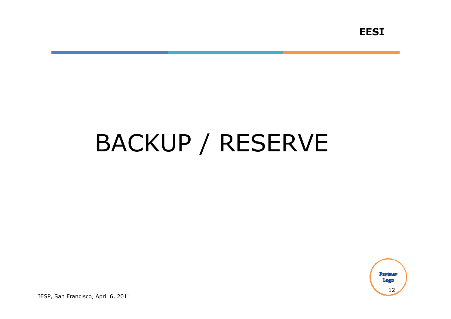# BACKUP / RESERVE

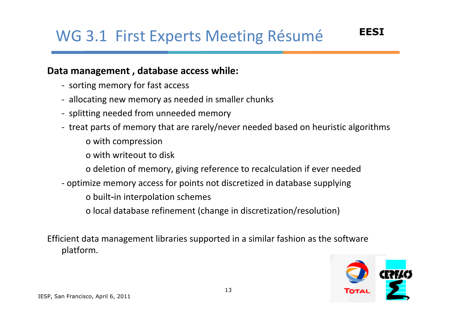#### Data management , database access while:

- sorting memory for fast access
- allocating new memory as needed in smaller chunks
- splitting needed from unneeded memory
- treat parts of memory that are rarely/never needed based on heuristic algorithms
	- o with compression
	- o with writeout to disk
	- o deletion of memory, giving reference to recalculation if ever needed
- optimize memory access for points not discretized in database supplying
	- o built‐in interpolation schemes
	- o local database refinement (change in discretization/resolution)

Efficient data management libraries supported in a similar fashion as the software platform.

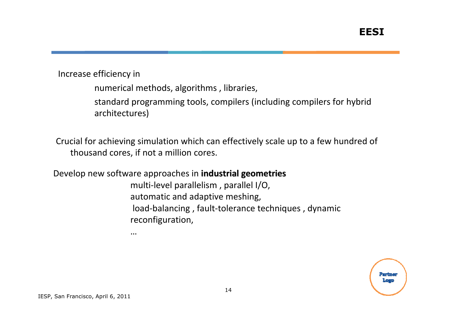Increase efficiency in

numerical methods, algorithms , libraries,

standard programming tools, compilers (including compilers for hybrid architectures)

Crucial for achieving simulation which can effectively scale up to a few hundred of thousand cores, if not a million cores.

Develop new software approaches in industrial geometries

…

multi-level parallelism , parallel I/O, automatic and adaptive meshing, load-balancing , fault-tolerance techniques , dynamic reconfiguration,

> Partner II. <mark>an</mark>g ya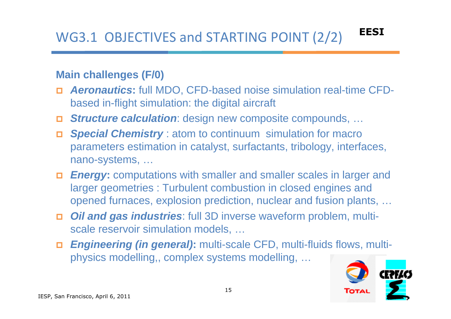## **Main challenges (F/0)**

- **Aeronautics:** full MDO, CFD-based noise simulation real-time CFDbased in-flight simulation: the digital aircraft
- Structure calculation: design new composite compounds, …
- **Special Chemistry** : atom to continuum simulation for macro  $\Box$ parameters estimation in catalyst, surfactants, tribology, interfaces, nano-systems, …
- **Energy:** computations with smaller and smaller scales in larger and **Energy:** computations with smaller and smaller scales in larger larger geometries : Turbulent combustion in closed engines and opened furnaces, explosion prediction, nuclear and fusion plants, …
- **Oil and gas industries**: full 3D inverse waveform problem, multiscale reservoir simulation models, …
- **Engineering (in general):** multi-scale CFD, multi-fluids flows, multiphysics modelling,, complex systems modelling, …